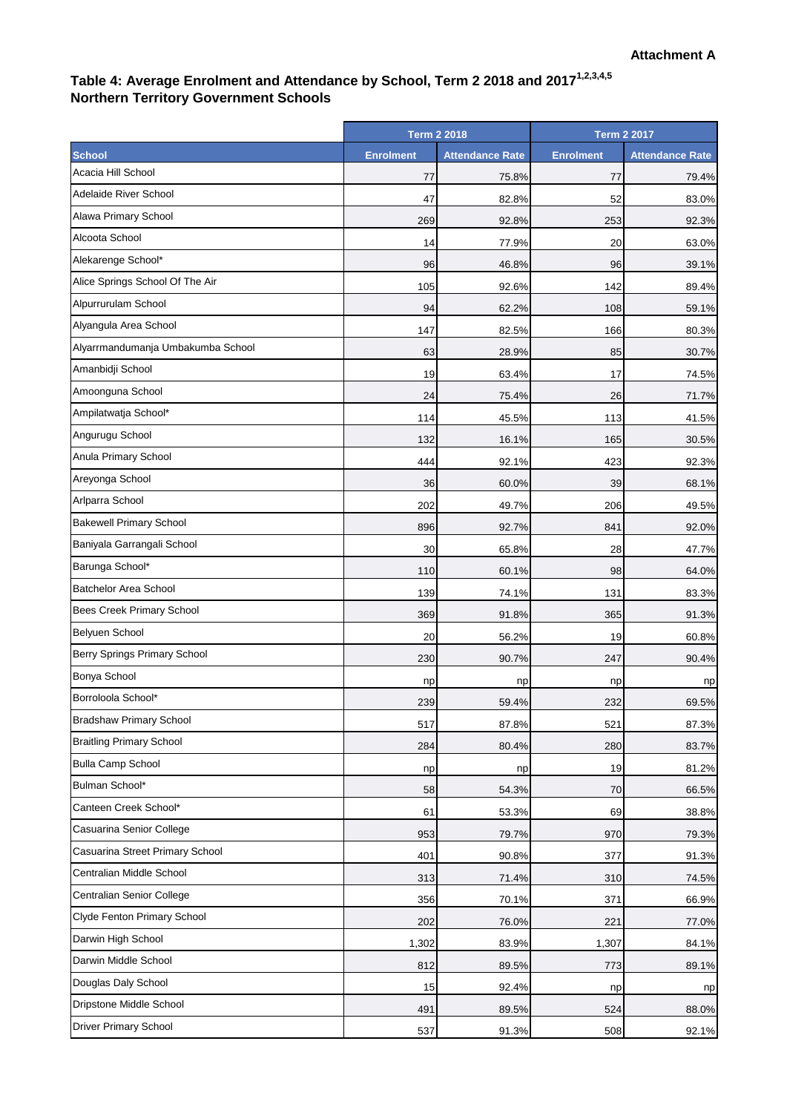## **Table 4: Average Enrolment and Attendance by School, Term 2 2018 and 20171,2,3,4,5 Northern Territory Government Schools**

|                                     | <b>Term 2 2018</b> |                        | <b>Term 2 2017</b> |                        |
|-------------------------------------|--------------------|------------------------|--------------------|------------------------|
| <b>School</b>                       | <b>Enrolment</b>   | <b>Attendance Rate</b> | <b>Enrolment</b>   | <b>Attendance Rate</b> |
| Acacia Hill School                  | 77                 | 75.8%                  | 77                 | 79.4%                  |
| <b>Adelaide River School</b>        | 47                 | 82.8%                  | 52                 | 83.0%                  |
| Alawa Primary School                | 269                | 92.8%                  | 253                | 92.3%                  |
| Alcoota School                      | 14                 | 77.9%                  | 20                 | 63.0%                  |
| Alekarenge School*                  | 96                 | 46.8%                  | 96                 | 39.1%                  |
| Alice Springs School Of The Air     | 105                | 92.6%                  | 142                | 89.4%                  |
| Alpurrurulam School                 | 94                 | 62.2%                  | 108                | 59.1%                  |
| Alyangula Area School               | 147                | 82.5%                  | 166                | 80.3%                  |
| Alyarrmandumanja Umbakumba School   | 63                 | 28.9%                  | 85                 | 30.7%                  |
| Amanbidji School                    | 19                 | 63.4%                  | 17                 | 74.5%                  |
| Amoonguna School                    | 24                 | 75.4%                  | 26                 | 71.7%                  |
| Ampilatwatja School*                | 114                | 45.5%                  | 113                | 41.5%                  |
| Angurugu School                     | 132                | 16.1%                  | 165                | 30.5%                  |
| Anula Primary School                | 444                | 92.1%                  | 423                | 92.3%                  |
| Areyonga School                     | 36                 | 60.0%                  | 39                 | 68.1%                  |
| Arlparra School                     | 202                | 49.7%                  | 206                | 49.5%                  |
| <b>Bakewell Primary School</b>      | 896                | 92.7%                  | 841                | 92.0%                  |
| Baniyala Garrangali School          | 30                 | 65.8%                  | 28                 | 47.7%                  |
| Barunga School*                     | 110                | 60.1%                  | 98                 | 64.0%                  |
| <b>Batchelor Area School</b>        | 139                | 74.1%                  | 131                | 83.3%                  |
| Bees Creek Primary School           | 369                | 91.8%                  | 365                | 91.3%                  |
| <b>Belyuen School</b>               | 20                 | 56.2%                  | 19                 | 60.8%                  |
| <b>Berry Springs Primary School</b> | 230                | 90.7%                  | 247                | 90.4%                  |
| <b>Bonya School</b>                 | np                 | np                     | np                 | np                     |
| Borroloola School*                  | 239                | 59.4%                  | 232                | 69.5%                  |
| <b>Bradshaw Primary School</b>      | 517                | 87.8%                  | 521                | 87.3%                  |
| <b>Braitling Primary School</b>     | 284                | 80.4%                  | 280                | 83.7%                  |
| <b>Bulla Camp School</b>            | np                 | np                     | 19                 | 81.2%                  |
| Bulman School*                      | 58                 | 54.3%                  | 70                 | 66.5%                  |
| Canteen Creek School*               | 61                 | 53.3%                  | 69                 | 38.8%                  |
| Casuarina Senior College            | 953                | 79.7%                  | 970                | 79.3%                  |
| Casuarina Street Primary School     | 401                | 90.8%                  | 377                | 91.3%                  |
| Centralian Middle School            | 313                | 71.4%                  | 310                | 74.5%                  |
| Centralian Senior College           | 356                | 70.1%                  | 371                | 66.9%                  |
| Clyde Fenton Primary School         | 202                | 76.0%                  | 221                | 77.0%                  |
| Darwin High School                  | 1,302              | 83.9%                  | 1,307              | 84.1%                  |
| Darwin Middle School                | 812                | 89.5%                  | 773                | 89.1%                  |
| Douglas Daly School                 | 15                 | 92.4%                  | np                 | np                     |
| Dripstone Middle School             | 491                | 89.5%                  | 524                | 88.0%                  |
| <b>Driver Primary School</b>        | 537                | 91.3%                  | 508                | 92.1%                  |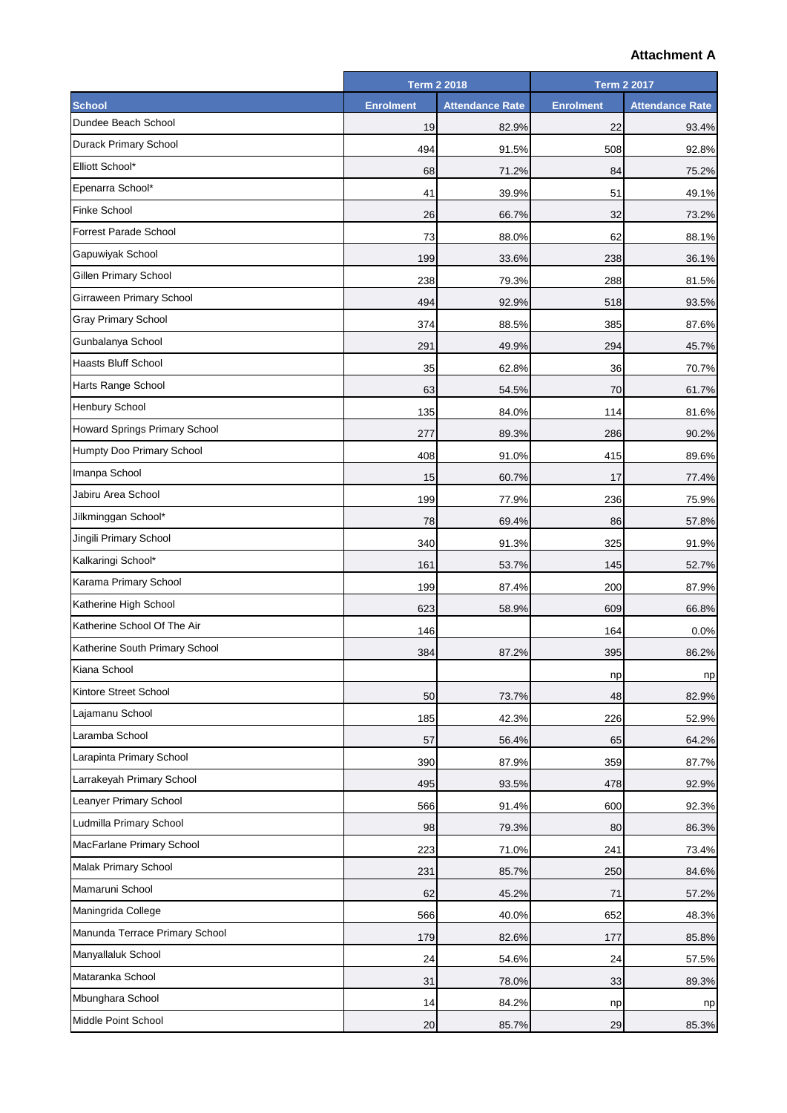## **Attachment A**

| <b>Enrolment</b><br><b>Enrolment</b><br><b>Attendance Rate</b><br><b>Attendance Rate</b><br>Dundee Beach School<br>19<br>82.9%<br>22<br>93.4%<br>494<br>91.5%<br>508<br>92.8%<br>Elliott School*<br>68<br>71.2%<br>84<br>75.2%<br>Epenarra School*<br>39.9%<br>51<br>49.1%<br>41<br>Finke School<br>26<br>66.7%<br>32<br>73.2%<br><b>Forrest Parade School</b><br>73<br>88.0%<br>62<br>88.1%<br>Gapuwiyak School<br>199<br>33.6%<br>238<br>36.1%<br>Gillen Primary School<br>238<br>79.3%<br>288<br>81.5%<br>Girraween Primary School<br>494<br>92.9%<br>518<br>93.5%<br><b>Gray Primary School</b><br>374<br>88.5%<br>385<br>87.6%<br>Gunbalanya School<br>291<br>294<br>49.9%<br>45.7%<br><b>Haasts Bluff School</b><br>35<br>62.8%<br>36<br>70.7%<br>Harts Range School<br>63<br>54.5%<br>70<br>61.7%<br>135<br>84.0%<br>114<br>81.6%<br>89.3%<br>286<br>277<br>90.2%<br>408<br>91.0%<br>415<br>89.6%<br>Imanpa School<br>60.7%<br>17<br>15<br>77.4%<br>Jabiru Area School<br>199<br>77.9%<br>236<br>75.9%<br>Jilkminggan School*<br>78<br>69.4%<br>86<br>57.8%<br>Jingili Primary School<br>340<br>91.3%<br>325<br>91.9%<br>161<br>53.7%<br>145<br>52.7%<br>199<br>87.4%<br>200<br>87.9%<br>Katherine High School<br>623<br>58.9%<br>609<br>66.8%<br>146<br>164<br>0.0%<br>Katherine South Primary School<br>384<br>87.2%<br>395<br>86.2%<br>np<br>np<br>Kintore Street School<br>50<br>73.7%<br>48<br>82.9%<br>Lajamanu School<br>185<br>42.3%<br>226<br>52.9%<br>Laramba School<br>57<br>56.4%<br>65<br>64.2%<br>Larapinta Primary School<br>390<br>87.9%<br>359<br>87.7%<br>Larrakeyah Primary School<br>495<br>93.5%<br>478<br>92.9%<br>Leanyer Primary School<br>566<br>91.4%<br>600<br>92.3%<br>Ludmilla Primary School<br>98<br>79.3%<br>80<br>86.3%<br>223<br>71.0%<br>73.4%<br>241<br>231<br>85.7%<br>250<br>84.6%<br>62<br>45.2%<br>71<br>57.2%<br>566<br>40.0%<br>652<br>48.3%<br>179<br>82.6%<br>177<br>85.8%<br>24<br>54.6%<br>24<br>57.5%<br>31<br>78.0%<br>33<br>89.3%<br>14<br>84.2%<br>np<br>np |                                | <b>Term 2 2018</b> |       | <b>Term 2 2017</b> |       |
|----------------------------------------------------------------------------------------------------------------------------------------------------------------------------------------------------------------------------------------------------------------------------------------------------------------------------------------------------------------------------------------------------------------------------------------------------------------------------------------------------------------------------------------------------------------------------------------------------------------------------------------------------------------------------------------------------------------------------------------------------------------------------------------------------------------------------------------------------------------------------------------------------------------------------------------------------------------------------------------------------------------------------------------------------------------------------------------------------------------------------------------------------------------------------------------------------------------------------------------------------------------------------------------------------------------------------------------------------------------------------------------------------------------------------------------------------------------------------------------------------------------------------------------------------------------------------------------------------------------------------------------------------------------------------------------------------------------------------------------------------------------------------------------------------------------------------------------------------------------------------------------------------------------------------------------------------------------------------------------------------------------------|--------------------------------|--------------------|-------|--------------------|-------|
|                                                                                                                                                                                                                                                                                                                                                                                                                                                                                                                                                                                                                                                                                                                                                                                                                                                                                                                                                                                                                                                                                                                                                                                                                                                                                                                                                                                                                                                                                                                                                                                                                                                                                                                                                                                                                                                                                                                                                                                                                      | <b>School</b>                  |                    |       |                    |       |
|                                                                                                                                                                                                                                                                                                                                                                                                                                                                                                                                                                                                                                                                                                                                                                                                                                                                                                                                                                                                                                                                                                                                                                                                                                                                                                                                                                                                                                                                                                                                                                                                                                                                                                                                                                                                                                                                                                                                                                                                                      |                                |                    |       |                    |       |
|                                                                                                                                                                                                                                                                                                                                                                                                                                                                                                                                                                                                                                                                                                                                                                                                                                                                                                                                                                                                                                                                                                                                                                                                                                                                                                                                                                                                                                                                                                                                                                                                                                                                                                                                                                                                                                                                                                                                                                                                                      | Durack Primary School          |                    |       |                    |       |
|                                                                                                                                                                                                                                                                                                                                                                                                                                                                                                                                                                                                                                                                                                                                                                                                                                                                                                                                                                                                                                                                                                                                                                                                                                                                                                                                                                                                                                                                                                                                                                                                                                                                                                                                                                                                                                                                                                                                                                                                                      |                                |                    |       |                    |       |
|                                                                                                                                                                                                                                                                                                                                                                                                                                                                                                                                                                                                                                                                                                                                                                                                                                                                                                                                                                                                                                                                                                                                                                                                                                                                                                                                                                                                                                                                                                                                                                                                                                                                                                                                                                                                                                                                                                                                                                                                                      |                                |                    |       |                    |       |
|                                                                                                                                                                                                                                                                                                                                                                                                                                                                                                                                                                                                                                                                                                                                                                                                                                                                                                                                                                                                                                                                                                                                                                                                                                                                                                                                                                                                                                                                                                                                                                                                                                                                                                                                                                                                                                                                                                                                                                                                                      |                                |                    |       |                    |       |
|                                                                                                                                                                                                                                                                                                                                                                                                                                                                                                                                                                                                                                                                                                                                                                                                                                                                                                                                                                                                                                                                                                                                                                                                                                                                                                                                                                                                                                                                                                                                                                                                                                                                                                                                                                                                                                                                                                                                                                                                                      |                                |                    |       |                    |       |
|                                                                                                                                                                                                                                                                                                                                                                                                                                                                                                                                                                                                                                                                                                                                                                                                                                                                                                                                                                                                                                                                                                                                                                                                                                                                                                                                                                                                                                                                                                                                                                                                                                                                                                                                                                                                                                                                                                                                                                                                                      |                                |                    |       |                    |       |
|                                                                                                                                                                                                                                                                                                                                                                                                                                                                                                                                                                                                                                                                                                                                                                                                                                                                                                                                                                                                                                                                                                                                                                                                                                                                                                                                                                                                                                                                                                                                                                                                                                                                                                                                                                                                                                                                                                                                                                                                                      |                                |                    |       |                    |       |
|                                                                                                                                                                                                                                                                                                                                                                                                                                                                                                                                                                                                                                                                                                                                                                                                                                                                                                                                                                                                                                                                                                                                                                                                                                                                                                                                                                                                                                                                                                                                                                                                                                                                                                                                                                                                                                                                                                                                                                                                                      |                                |                    |       |                    |       |
|                                                                                                                                                                                                                                                                                                                                                                                                                                                                                                                                                                                                                                                                                                                                                                                                                                                                                                                                                                                                                                                                                                                                                                                                                                                                                                                                                                                                                                                                                                                                                                                                                                                                                                                                                                                                                                                                                                                                                                                                                      |                                |                    |       |                    |       |
|                                                                                                                                                                                                                                                                                                                                                                                                                                                                                                                                                                                                                                                                                                                                                                                                                                                                                                                                                                                                                                                                                                                                                                                                                                                                                                                                                                                                                                                                                                                                                                                                                                                                                                                                                                                                                                                                                                                                                                                                                      |                                |                    |       |                    |       |
|                                                                                                                                                                                                                                                                                                                                                                                                                                                                                                                                                                                                                                                                                                                                                                                                                                                                                                                                                                                                                                                                                                                                                                                                                                                                                                                                                                                                                                                                                                                                                                                                                                                                                                                                                                                                                                                                                                                                                                                                                      |                                |                    |       |                    |       |
|                                                                                                                                                                                                                                                                                                                                                                                                                                                                                                                                                                                                                                                                                                                                                                                                                                                                                                                                                                                                                                                                                                                                                                                                                                                                                                                                                                                                                                                                                                                                                                                                                                                                                                                                                                                                                                                                                                                                                                                                                      |                                |                    |       |                    |       |
|                                                                                                                                                                                                                                                                                                                                                                                                                                                                                                                                                                                                                                                                                                                                                                                                                                                                                                                                                                                                                                                                                                                                                                                                                                                                                                                                                                                                                                                                                                                                                                                                                                                                                                                                                                                                                                                                                                                                                                                                                      | <b>Henbury School</b>          |                    |       |                    |       |
|                                                                                                                                                                                                                                                                                                                                                                                                                                                                                                                                                                                                                                                                                                                                                                                                                                                                                                                                                                                                                                                                                                                                                                                                                                                                                                                                                                                                                                                                                                                                                                                                                                                                                                                                                                                                                                                                                                                                                                                                                      | Howard Springs Primary School  |                    |       |                    |       |
|                                                                                                                                                                                                                                                                                                                                                                                                                                                                                                                                                                                                                                                                                                                                                                                                                                                                                                                                                                                                                                                                                                                                                                                                                                                                                                                                                                                                                                                                                                                                                                                                                                                                                                                                                                                                                                                                                                                                                                                                                      | Humpty Doo Primary School      |                    |       |                    |       |
|                                                                                                                                                                                                                                                                                                                                                                                                                                                                                                                                                                                                                                                                                                                                                                                                                                                                                                                                                                                                                                                                                                                                                                                                                                                                                                                                                                                                                                                                                                                                                                                                                                                                                                                                                                                                                                                                                                                                                                                                                      |                                |                    |       |                    |       |
|                                                                                                                                                                                                                                                                                                                                                                                                                                                                                                                                                                                                                                                                                                                                                                                                                                                                                                                                                                                                                                                                                                                                                                                                                                                                                                                                                                                                                                                                                                                                                                                                                                                                                                                                                                                                                                                                                                                                                                                                                      |                                |                    |       |                    |       |
|                                                                                                                                                                                                                                                                                                                                                                                                                                                                                                                                                                                                                                                                                                                                                                                                                                                                                                                                                                                                                                                                                                                                                                                                                                                                                                                                                                                                                                                                                                                                                                                                                                                                                                                                                                                                                                                                                                                                                                                                                      |                                |                    |       |                    |       |
|                                                                                                                                                                                                                                                                                                                                                                                                                                                                                                                                                                                                                                                                                                                                                                                                                                                                                                                                                                                                                                                                                                                                                                                                                                                                                                                                                                                                                                                                                                                                                                                                                                                                                                                                                                                                                                                                                                                                                                                                                      |                                |                    |       |                    |       |
|                                                                                                                                                                                                                                                                                                                                                                                                                                                                                                                                                                                                                                                                                                                                                                                                                                                                                                                                                                                                                                                                                                                                                                                                                                                                                                                                                                                                                                                                                                                                                                                                                                                                                                                                                                                                                                                                                                                                                                                                                      | Kalkaringi School*             |                    |       |                    |       |
|                                                                                                                                                                                                                                                                                                                                                                                                                                                                                                                                                                                                                                                                                                                                                                                                                                                                                                                                                                                                                                                                                                                                                                                                                                                                                                                                                                                                                                                                                                                                                                                                                                                                                                                                                                                                                                                                                                                                                                                                                      | Karama Primary School          |                    |       |                    |       |
|                                                                                                                                                                                                                                                                                                                                                                                                                                                                                                                                                                                                                                                                                                                                                                                                                                                                                                                                                                                                                                                                                                                                                                                                                                                                                                                                                                                                                                                                                                                                                                                                                                                                                                                                                                                                                                                                                                                                                                                                                      |                                |                    |       |                    |       |
|                                                                                                                                                                                                                                                                                                                                                                                                                                                                                                                                                                                                                                                                                                                                                                                                                                                                                                                                                                                                                                                                                                                                                                                                                                                                                                                                                                                                                                                                                                                                                                                                                                                                                                                                                                                                                                                                                                                                                                                                                      | Katherine School Of The Air    |                    |       |                    |       |
|                                                                                                                                                                                                                                                                                                                                                                                                                                                                                                                                                                                                                                                                                                                                                                                                                                                                                                                                                                                                                                                                                                                                                                                                                                                                                                                                                                                                                                                                                                                                                                                                                                                                                                                                                                                                                                                                                                                                                                                                                      |                                |                    |       |                    |       |
|                                                                                                                                                                                                                                                                                                                                                                                                                                                                                                                                                                                                                                                                                                                                                                                                                                                                                                                                                                                                                                                                                                                                                                                                                                                                                                                                                                                                                                                                                                                                                                                                                                                                                                                                                                                                                                                                                                                                                                                                                      | Kiana School                   |                    |       |                    |       |
|                                                                                                                                                                                                                                                                                                                                                                                                                                                                                                                                                                                                                                                                                                                                                                                                                                                                                                                                                                                                                                                                                                                                                                                                                                                                                                                                                                                                                                                                                                                                                                                                                                                                                                                                                                                                                                                                                                                                                                                                                      |                                |                    |       |                    |       |
|                                                                                                                                                                                                                                                                                                                                                                                                                                                                                                                                                                                                                                                                                                                                                                                                                                                                                                                                                                                                                                                                                                                                                                                                                                                                                                                                                                                                                                                                                                                                                                                                                                                                                                                                                                                                                                                                                                                                                                                                                      |                                |                    |       |                    |       |
|                                                                                                                                                                                                                                                                                                                                                                                                                                                                                                                                                                                                                                                                                                                                                                                                                                                                                                                                                                                                                                                                                                                                                                                                                                                                                                                                                                                                                                                                                                                                                                                                                                                                                                                                                                                                                                                                                                                                                                                                                      |                                |                    |       |                    |       |
|                                                                                                                                                                                                                                                                                                                                                                                                                                                                                                                                                                                                                                                                                                                                                                                                                                                                                                                                                                                                                                                                                                                                                                                                                                                                                                                                                                                                                                                                                                                                                                                                                                                                                                                                                                                                                                                                                                                                                                                                                      |                                |                    |       |                    |       |
|                                                                                                                                                                                                                                                                                                                                                                                                                                                                                                                                                                                                                                                                                                                                                                                                                                                                                                                                                                                                                                                                                                                                                                                                                                                                                                                                                                                                                                                                                                                                                                                                                                                                                                                                                                                                                                                                                                                                                                                                                      |                                |                    |       |                    |       |
|                                                                                                                                                                                                                                                                                                                                                                                                                                                                                                                                                                                                                                                                                                                                                                                                                                                                                                                                                                                                                                                                                                                                                                                                                                                                                                                                                                                                                                                                                                                                                                                                                                                                                                                                                                                                                                                                                                                                                                                                                      |                                |                    |       |                    |       |
|                                                                                                                                                                                                                                                                                                                                                                                                                                                                                                                                                                                                                                                                                                                                                                                                                                                                                                                                                                                                                                                                                                                                                                                                                                                                                                                                                                                                                                                                                                                                                                                                                                                                                                                                                                                                                                                                                                                                                                                                                      |                                |                    |       |                    |       |
|                                                                                                                                                                                                                                                                                                                                                                                                                                                                                                                                                                                                                                                                                                                                                                                                                                                                                                                                                                                                                                                                                                                                                                                                                                                                                                                                                                                                                                                                                                                                                                                                                                                                                                                                                                                                                                                                                                                                                                                                                      | MacFarlane Primary School      |                    |       |                    |       |
|                                                                                                                                                                                                                                                                                                                                                                                                                                                                                                                                                                                                                                                                                                                                                                                                                                                                                                                                                                                                                                                                                                                                                                                                                                                                                                                                                                                                                                                                                                                                                                                                                                                                                                                                                                                                                                                                                                                                                                                                                      | Malak Primary School           |                    |       |                    |       |
|                                                                                                                                                                                                                                                                                                                                                                                                                                                                                                                                                                                                                                                                                                                                                                                                                                                                                                                                                                                                                                                                                                                                                                                                                                                                                                                                                                                                                                                                                                                                                                                                                                                                                                                                                                                                                                                                                                                                                                                                                      | Mamaruni School                |                    |       |                    |       |
|                                                                                                                                                                                                                                                                                                                                                                                                                                                                                                                                                                                                                                                                                                                                                                                                                                                                                                                                                                                                                                                                                                                                                                                                                                                                                                                                                                                                                                                                                                                                                                                                                                                                                                                                                                                                                                                                                                                                                                                                                      | Maningrida College             |                    |       |                    |       |
|                                                                                                                                                                                                                                                                                                                                                                                                                                                                                                                                                                                                                                                                                                                                                                                                                                                                                                                                                                                                                                                                                                                                                                                                                                                                                                                                                                                                                                                                                                                                                                                                                                                                                                                                                                                                                                                                                                                                                                                                                      | Manunda Terrace Primary School |                    |       |                    |       |
|                                                                                                                                                                                                                                                                                                                                                                                                                                                                                                                                                                                                                                                                                                                                                                                                                                                                                                                                                                                                                                                                                                                                                                                                                                                                                                                                                                                                                                                                                                                                                                                                                                                                                                                                                                                                                                                                                                                                                                                                                      | Manyallaluk School             |                    |       |                    |       |
|                                                                                                                                                                                                                                                                                                                                                                                                                                                                                                                                                                                                                                                                                                                                                                                                                                                                                                                                                                                                                                                                                                                                                                                                                                                                                                                                                                                                                                                                                                                                                                                                                                                                                                                                                                                                                                                                                                                                                                                                                      | Mataranka School               |                    |       |                    |       |
|                                                                                                                                                                                                                                                                                                                                                                                                                                                                                                                                                                                                                                                                                                                                                                                                                                                                                                                                                                                                                                                                                                                                                                                                                                                                                                                                                                                                                                                                                                                                                                                                                                                                                                                                                                                                                                                                                                                                                                                                                      | Mbunghara School               |                    |       |                    |       |
|                                                                                                                                                                                                                                                                                                                                                                                                                                                                                                                                                                                                                                                                                                                                                                                                                                                                                                                                                                                                                                                                                                                                                                                                                                                                                                                                                                                                                                                                                                                                                                                                                                                                                                                                                                                                                                                                                                                                                                                                                      | Middle Point School            | 20                 | 85.7% | 29                 | 85.3% |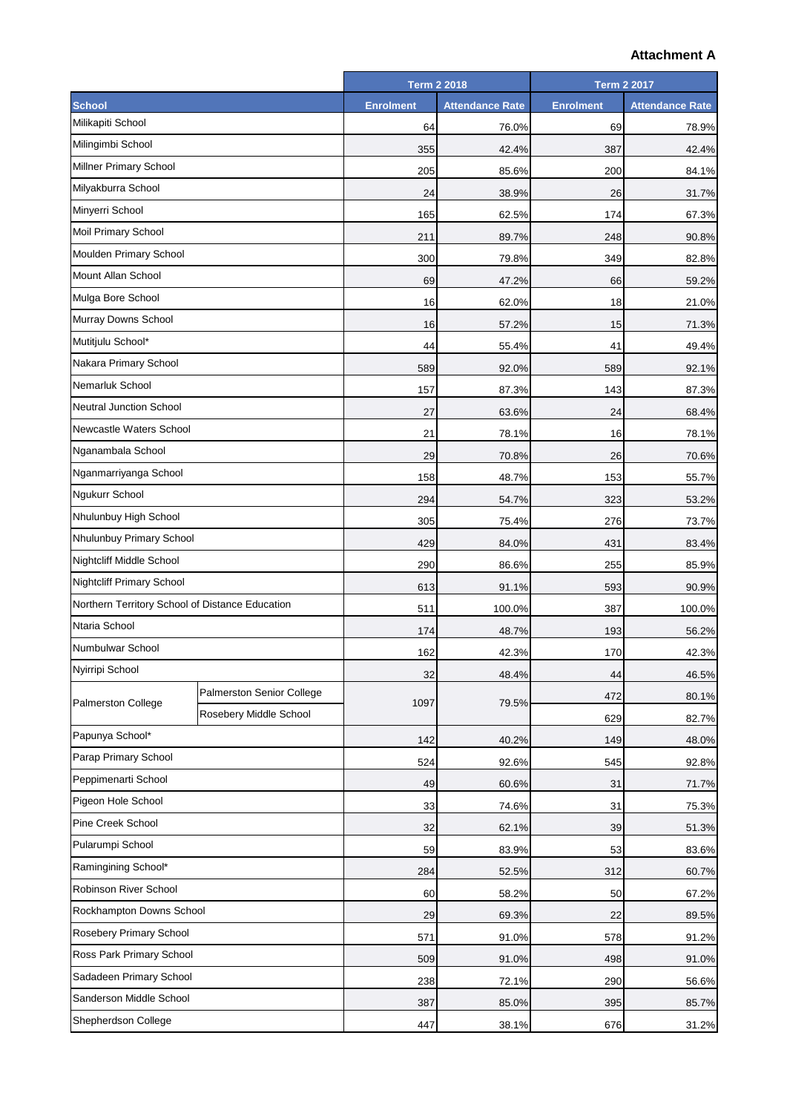## **Attachment A**

|                                                 |                           | <b>Term 2 2018</b> |                        | <b>Term 2 2017</b> |                        |
|-------------------------------------------------|---------------------------|--------------------|------------------------|--------------------|------------------------|
| <b>School</b>                                   |                           | <b>Enrolment</b>   | <b>Attendance Rate</b> | <b>Enrolment</b>   | <b>Attendance Rate</b> |
| Milikapiti School                               |                           | 64                 | 76.0%                  | 69                 | 78.9%                  |
| Milingimbi School                               |                           | 355                | 42.4%                  | 387                | 42.4%                  |
| Millner Primary School                          |                           | 205                | 85.6%                  | 200                | 84.1%                  |
| Milyakburra School                              |                           | 24                 | 38.9%                  | 26                 | 31.7%                  |
| Minyerri School                                 |                           | 165                | 62.5%                  | 174                | 67.3%                  |
| Moil Primary School                             |                           | 211                | 89.7%                  | 248                | 90.8%                  |
| Moulden Primary School                          |                           | 300                | 79.8%                  | 349                | 82.8%                  |
| Mount Allan School                              |                           | 69                 | 47.2%                  | 66                 | 59.2%                  |
| Mulga Bore School                               |                           | 16                 | 62.0%                  | 18                 | 21.0%                  |
| Murray Downs School                             |                           | 16                 | 57.2%                  | 15                 | 71.3%                  |
| Mutitjulu School*                               |                           | 44                 | 55.4%                  | 41                 | 49.4%                  |
| Nakara Primary School                           |                           | 589                | 92.0%                  | 589                | 92.1%                  |
| Nemarluk School                                 |                           | 157                | 87.3%                  | 143                | 87.3%                  |
| Neutral Junction School                         |                           | 27                 | 63.6%                  | 24                 | 68.4%                  |
| Newcastle Waters School                         |                           | 21                 | 78.1%                  | 16                 | 78.1%                  |
| Nganambala School                               |                           | 29                 | 70.8%                  | 26                 | 70.6%                  |
| Nganmarriyanga School                           |                           | 158                | 48.7%                  | 153                | 55.7%                  |
| <b>Ngukurr School</b>                           |                           | 294                | 54.7%                  | 323                | 53.2%                  |
| Nhulunbuy High School                           |                           | 305                | 75.4%                  | 276                | 73.7%                  |
| Nhulunbuy Primary School                        |                           | 429                | 84.0%                  | 431                | 83.4%                  |
| <b>Nightcliff Middle School</b>                 |                           | 290                | 86.6%                  | 255                | 85.9%                  |
| <b>Nightcliff Primary School</b>                |                           | 613                | 91.1%                  | 593                | 90.9%                  |
| Northern Territory School of Distance Education |                           | 511                | 100.0%                 | 387                | 100.0%                 |
| Ntaria School                                   |                           | 174                | 48.7%                  | 193                | 56.2%                  |
| Numbulwar School                                |                           | 162                | 42.3%                  | 170                | 42.3%                  |
| Nyirripi School                                 |                           | 32                 | 48.4%                  | 44                 | 46.5%                  |
|                                                 | Palmerston Senior College |                    | 1097<br>79.5%          | 472                | 80.1%                  |
| <b>Palmerston College</b>                       | Rosebery Middle School    |                    |                        | 629                | 82.7%                  |
| Papunya School*                                 |                           | 142                | 40.2%                  | 149                | 48.0%                  |
| Parap Primary School                            |                           | 524                | 92.6%                  | 545                | 92.8%                  |
| Peppimenarti School                             |                           | 49                 | 60.6%                  | 31                 | 71.7%                  |
| Pigeon Hole School                              |                           | 33                 | 74.6%                  | 31                 | 75.3%                  |
| Pine Creek School                               |                           | 32                 | 62.1%                  | 39                 | 51.3%                  |
| Pularumpi School                                |                           | 59                 | 83.9%                  | 53                 | 83.6%                  |
| Ramingining School*                             |                           | 284                | 52.5%                  | 312                | 60.7%                  |
| Robinson River School                           |                           | 60                 | 58.2%                  | 50                 | 67.2%                  |
| Rockhampton Downs School                        |                           | 29                 | 69.3%                  | 22                 | 89.5%                  |
| Rosebery Primary School                         |                           | 571                | 91.0%                  | 578                | 91.2%                  |
| Ross Park Primary School                        |                           | 509                | 91.0%                  | 498                | 91.0%                  |
| Sadadeen Primary School                         |                           | 238                | 72.1%                  | 290                | 56.6%                  |
| Sanderson Middle School                         |                           | 387                | 85.0%                  | 395                | 85.7%                  |
| Shepherdson College                             |                           | 447                | 38.1%                  | 676                | 31.2%                  |
|                                                 |                           |                    |                        |                    |                        |